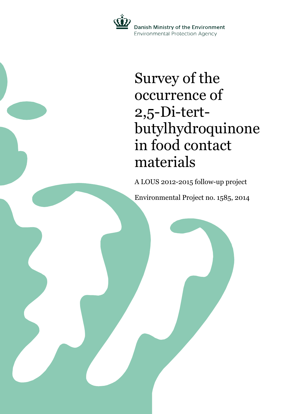

# Survey of the occurrence of 2,5-Di-tertbutylhydroquinone in food contact materials

A LOUS 2012-2015 follow-up project

Environmental Project no. 1585, 2014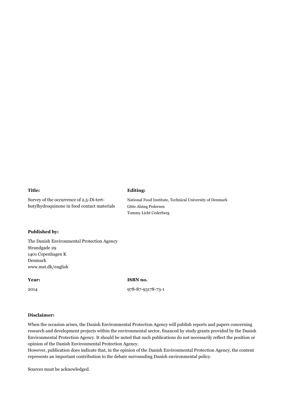#### **Title:**

Survey of the occurrence of 2,5-Di-tertbutylhydroquinone in food contact materials

#### **Published by:**

The Danish Environmental Protection Agency Strandgade 29 1401 Copenhagen K Denmark www.mst.dk/english

#### **Year:**

2014

**ISBN no.**

**Editing:**

Gitte Alsing Pedersen Tommy Licht Cederberg

National Food Institute, Technical University of Denmark

978-87-93178-73-1

#### **Disclaimer:**

When the occasion arises, the Danish Environmental Protection Agency will publish reports and papers concerning research and development projects within the environmental sector, financed by study grants provided by the Danish Environmental Protection Agency. It should be noted that such publications do not necessarily reflect the position or opinion of the Danish Environmental Protection Agency.

However, publication does indicate that, in the opinion of the Danish Environmental Protection Agency, the content represents an important contribution to the debate surrounding Danish environmental policy.

Sources must be acknowledged.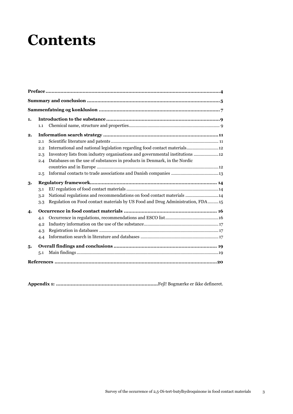# **Contents**

| 1. |     |                                                                                 |  |  |  |  |  |
|----|-----|---------------------------------------------------------------------------------|--|--|--|--|--|
|    | 1.1 |                                                                                 |  |  |  |  |  |
| 2. |     |                                                                                 |  |  |  |  |  |
|    | 2.1 |                                                                                 |  |  |  |  |  |
|    | 2.2 | International and national legislation regarding food contact materials 12      |  |  |  |  |  |
|    | 2.3 | Inventory lists from industry organisations and governmental institutions  12   |  |  |  |  |  |
|    | 2.4 | Databases on the use of substances in products in Denmark, in the Nordic        |  |  |  |  |  |
|    |     |                                                                                 |  |  |  |  |  |
|    | 2.5 |                                                                                 |  |  |  |  |  |
| 3. |     |                                                                                 |  |  |  |  |  |
|    | 3.1 |                                                                                 |  |  |  |  |  |
|    | 3.2 | National regulations and recommendations on food contact materials  14          |  |  |  |  |  |
|    | 3.3 | Regulation on Food contact materials by US Food and Drug Administration, FDA 15 |  |  |  |  |  |
| 4. |     |                                                                                 |  |  |  |  |  |
|    | 4.1 |                                                                                 |  |  |  |  |  |
|    | 4.2 |                                                                                 |  |  |  |  |  |
|    | 4.3 |                                                                                 |  |  |  |  |  |
|    | 4.4 |                                                                                 |  |  |  |  |  |
| 5. |     |                                                                                 |  |  |  |  |  |
|    | 5.1 |                                                                                 |  |  |  |  |  |
|    |     |                                                                                 |  |  |  |  |  |

**Appendix 1: .....................................................................**Fejl! Bogmærke er ikke defineret.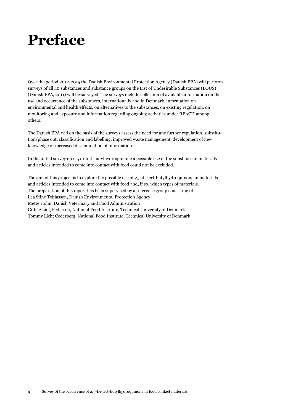# <span id="page-3-0"></span>**Preface**

Over the period 2012-2015 the Danish Environmental Protection Agency (Danish EPA) will perform surveys of all 40 substances and substance groups on the List of Undesirable Substances (LOUS) (Danish EPA, 2011) will be surveyed. The surveys include collection of available information on the use and occurrence of the substances, internationally and in Denmark, information on environmental and health effects, on alternatives to the substances, on existing regulation, on monitoring and exposure and information regarding ongoing activities under REACH among others.

The Danish EPA will on the basis of the surveys assess the need for any further regulation, substitution/phase out, classification and labelling, improved waste management, development of new knowledge or increased dissemination of information.

In the initial survey on 2,5 di-tert-butylhydroquinone a possible use of the substance in materials and articles intended to come into contact with food could not be excluded.

The aim of this project is to explore the possible use of 2,5 di-tert-butylhydroquinone in materials and articles intended to come into contact with food and, if so, which types of materials. The preparation of this report has been supervised by a reference group consisting of: Lea Stine Tobiassen, Danish Environmental Protection Agency Mette Holm, Danish Veterinary and Food Administration Gitte Alsing Pedersen, National Food Institute, Technical University of Denmark Tommy Licht Cederberg, National Food Institute, Technical University of Denmark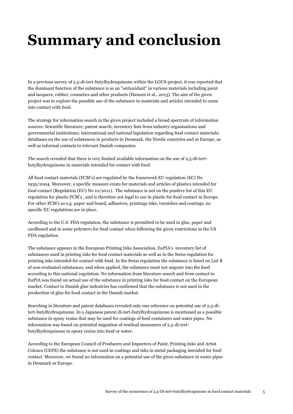# <span id="page-4-0"></span>**Summary and conclusion**

In a previous survey of 2,5-di-tert-butylhydroquinone within the LOUS-project, it was reported that the dominant function of the substance is as an "antioxidant" in various materials including paint and lacquers, rubber, cosmetics and other products (Hansen et al., 2013). The aim of the given project was to explore the possible use of the substance in materials and articles intended to come into contact with food.

The strategy for information search in the given project included a broad spectrum of information sources: Scientific literature; patent search; inventory lists from industry organisations and governmental institutions; international and national legislation regarding food contact materials; databases on the use of substances in products in Denmark, the Nordic countries and in Europe, as well as informal contacts to relevant Danish companies.

The search revealed that there is very limited available information on the use of 2,5-di-tertbutylhydroquinone in materials intended for contact with food.

All food contact materials (FCM's) are regulated by the framework EU regulation (EC) No 1935/2004. Moreover, a specific measure exists for materials and articles of plastics intended for food contact (Regulation (EU) No 10/2011). The substance is not on the positive list of this EU regulation for plastic FCM's , and is therefore not legal to use in plastic for food contact in Europe. For other FCM's as e.g. paper and board, adhesives, printings inks, varnishes and coatings, no specific EU regulations are in place.

According to the U.S. FDA regulation, the substance is permitted to be used in glue, paper and cardboard and in some polymers for food contact when following the given restrictions in the US FDA regulation.

The substance appears in the European Printing Inks Association, EuPIA's inventory list of substances used in printing inks for food contact materials as well as in the Swiss regulation for printing inks intended for contact with food. In the Swiss regulation the substance is listed on List B of non-evaluated substances, and when applied, the substance must not migrate into the food according to this national regulation. No information from literature search and from contact to EuPIA was found on actual use of the substance in printing inks for food contact on the European market. Contact to Danish glue industries has confirmed that the substance is not used in the production of glue for food contact in the Danish market.

Searching in literature and patent databases revealed only one reference on potential use of 2,5-ditert-butylhydroquinone. In a Japanese patent di-tert-butylhydroquinone is mentioned as a possible substance in epoxy resins that may be used for coatings of food containers and water pipes. No information was found on potential migration of residual monomers of 2,5-di-tertbutylhydroquinone in epoxy resins into food or water.

According to the European Council of Producers and Importers of Paint, Printing Inks and Artist Colours (CEPE) the substance is not used in coatings and inks in metal packaging intended for food contact. Moreover, we found no information on a potential use of the given substance in water pipes in Denmark or Europe.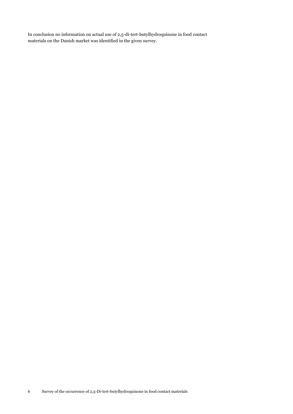In conclusion no information on actual use of 2,5-di-tert-butylhydroquinone in food contact materials on the Danish market was identified in the given survey.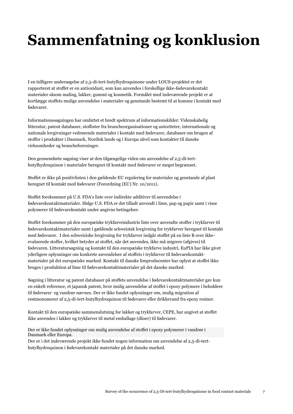# <span id="page-6-0"></span>**Sammenfatning og konklusion**

I en tidligere undersøgelse af 2,5-di-tert-butylhydroquinone under LOUS-projektet er det rapporteret at stoffet er en antioxidant, som kan anvendes i forskellige ikke-fødevarekontakt materialer såsom maling, lakker, gummi og kosmetik. Formålet med indeværende projekt er at kortlægge stoffets mulige anvendelse i materialer og genstande bestemt til at komme i kontakt med fødevarer.

Informationssøgningen har omfattet et bredt spektrum af informationskilder: Videnskabelig litteratur, patent databaser, stoflister fra brancheorganisationer og autoriteter, internationale og nationale lovgivninger vedrørende materialer i kontakt med fødevarer, databaser om brugen af stoffer i produkter i Danmark, Nordisk lande og i Europa såvel som kontakter til danske virksomheder og brancheforeninger.

Den gennemførte søgning viser at den tilgængelige viden om anvendelse af 2,5-di-tertbutylhydroquinon i materialer beregnet til kontakt med fødevarer er meget begrænset.

Stoffet er ikke på positivlisten i den gældende EU regulering for materialer og genstande af plast beregnet til kontakt med fødevarer (Forordning (EU) Nr. 10/2011).

Stoffet forekommer på U.S. FDA's liste over indirekte additiver til anvendelse i fødevarekontaktmaterialer. Ifølge U.S. FDA er det tilladt anvendt i lime, pap og papir samt i visse polymerer til fødevarekontakt under angivne betingelser.

Stoffet forekommer på den europæiske trykfarveindustris liste over anvendte stoffer i trykfarver til fødevarekontaktmaterialer samt i gældende schweizisk lovgivning for trykfarver beregnet til kontakt med fødevarer. I den schweiziske lovgivning for trykfarver indgår stoffet på en liste B over ikkeevaluerede stoffer, hvilket betyder at stoffet, når det anvendes, ikke må migrere (afgives) til fødevaren. Litteratursøgning og kontakt til den europæiske trykfarve industri, EuPIA har ikke givet yderligere oplysninger om konkrete anvendelser af stoffets i trykfarver til fødevarekontaktmaterialer på det europæiske marked. Kontakt til danske limproducenter har oplyst at stoffet ikke bruges i produktion af lime til fødevarekontaktmaterialer på det danske marked.

Søgning i litteratur og patent databaser på stoffets anvendelse i fødevarekontaktmaterialer gav kun en enkelt reference, et japansk patent, hvor mulig anvendelse af stoffet i epoxy polymere i beholdere til fødevarer og vandrør nævnes. Der er ikke fundet oplysninger om, mulig migration af restmonomerer af 2,5-di-tert-butylhydroquinon til fødevarer eller drikkevand fra epoxy resiner.

Kontakt til den europæiske sammenslutning for lakker og trykfarver, CEPE, har angivet at stoffet ikke anvendes i lakker og trykfarver til metal emballage (dåser) til fødevarer.

Der er ikke fundet oplysninger om mulig anvendelse af stoffet i epoxy polymerer i vandrør i Danmark eller Europa.

Der er i det indeværende projekt ikke fundet nogen information om anvendelse af 2,5-di-tertbutylhydroquinon i fødevarekontakt materialer på det danske marked.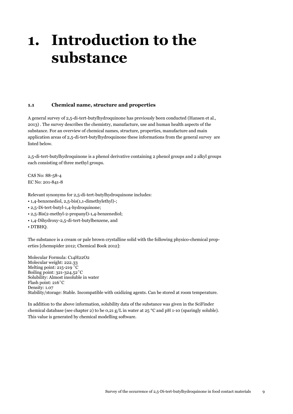# <span id="page-8-0"></span>**1. Introduction to the substance**

## <span id="page-8-1"></span>**1.1 Chemical name, structure and properties**

A general survey of 2,5-di-tert-butylhydroquinone has previously been conducted (Hansen et al., 2013) . The survey describes the chemistry, manufacture, use and human health aspects of the substance. For an overview of chemical names, structure, properties, manufacture and main application areas of 2,5-di-tert-butylhydroquinone these informations from the general survey are listed below.

2,5-di-tert-butylhydroquinone is a phenol derivative containing 2 phenol groups and 2 alkyl groups each consisting of three methyl groups.

CAS No: 88-58-4 EC No: 201-841-8

Relevant synonyms for 2,5-di-tert-butylhydroquinone includes:

- 1,4-benzenediol, 2,5-bis(1,1-dimethylethyl)-;
- 2,5-Di-tert-butyl-1,4-hydroquinone;
- 2,5-Bis(2-methyl-2-propanyl)-1,4-benzenediol;
- 1,4-Dihydroxy-2,5-di-tert-butylbenzene, and
- DTBHQ.

The substance is a cream or pale brown crystalline solid with the following physico-chemical properties [chemspider 2012; Chemical Book 2012]:

Molecular Formula: C14H22O2 Molecular weight: 222.33 Melting point: 215-219 ˚C Boiling point: 321-324.52˚C Solubility: Almost insoluble in water Flash point: 216˚C Density: 1.07 Stability/storage: Stable. Incompatible with oxidizing agents. Can be stored at room temperature.

In addition to the above information, solubility data of the substance was given in the SciFinder chemical database (see chapter 2) to be 0,21 g/L in water at 25 °C and pH 1-10 (sparingly soluble). This value is generated by chemical modelling software.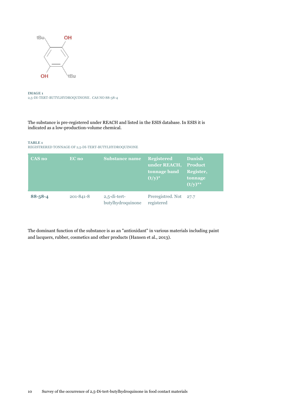

**IMAGE 1** 2,5-DI-TERT-BUTYLHYDROQUINONE . CAS NO 88-58-4

The substance is pre-registered under REACH and listed in the ESIS database. In ESIS it is indicated as a low-production-volume chemical.

#### **TABLE 1**

REGISTRERED TONNAGE OF 2,5-DI-TERT-BUTYLHYDROQUINONE

| <b>CAS no</b> | EC no           | <b>Substance name</b>                | <b>Registered</b><br>under REACH, Product<br>tonnage band<br>$(t/y)^*$ | <b>Danish</b><br>Register,<br>tonnage<br>$(t/y)$ ** |
|---------------|-----------------|--------------------------------------|------------------------------------------------------------------------|-----------------------------------------------------|
| $88 - 58 - 4$ | $201 - 841 - 8$ | $2,5$ -di-tert-<br>butylhydroquinone | Preregistred, Not 27.7<br>registered                                   |                                                     |

The dominant function of the substance is as an "antioxidant" in various materials including paint and lacquers, rubber, cosmetics and other products (Hansen et al., 2013).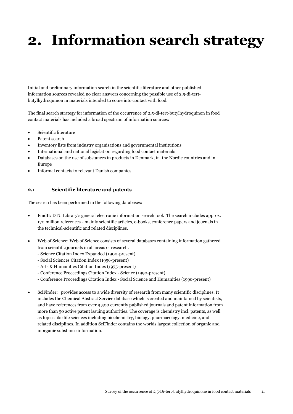# <span id="page-10-0"></span>**2. Information search strategy**

Initial and preliminary information search in the scientific literature and other published information sources revealed no clear answers concerning the possible use of 2,5-di-tertbutylhydroquinon in materials intended to come into contact with food.

The final search strategy for information of the occurrence of 2,5-di-tert-butylhydroquinon in food contact materials has included a broad spectrum of information sources:

- Scientific literature
- Patent search
- Inventory lists from industry organisations and governmental institutions
- International and national legislation regarding food contact materials
- Databases on the use of substances in products in Denmark, in the Nordic countries and in Europe
- Informal contacts to relevant Danish companies

## <span id="page-10-1"></span>**2.1 Scientific literature and patents**

The search has been performed in the following databases:

- FindIt: DTU Library's general electronic information search tool. The search includes approx. 170 million references - mainly scientific articles, e-books, conference papers and journals in the technical-scientific and related disciplines.
- Web of Science: Web of Science consists of several databases containing information gathered from scientific journals in all areas of research.
	- Science Citation Index Expanded (1900-present)
	- Social Sciences Citation Index (1956-present)
	- Arts & Humanities Citation Index (1975-present)
	- Conference Proceedings Citation Index Science (1990-present)
	- Conference Proceedings Citation Index Social Science and Humanities (1990-present)
- SciFinder: provides access to a wide diversity of research from many scientific disciplines. It includes the Chemical Abstract Service database which is created and maintained by scientists, and have references from over 9,500 currently published journals and patent information from more than 50 active patent issuing authorities. The coverage is chemistry incl. patents, as well as topics like life sciences including biochemistry, biology, pharmacology, medicine, and related disciplines. In addition SciFinder contains the worlds largest collection of organic and inorganic substance information.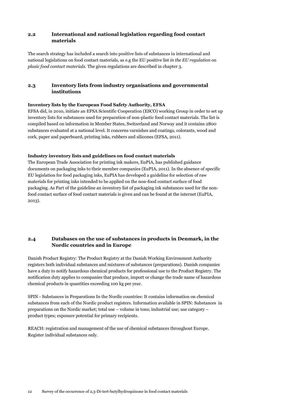## <span id="page-11-0"></span>**2.2 International and national legislation regarding food contact materials**

The search strategy has included a search into positive lists of substances in international and national legislations on food contact materials, as e.g the EU positive list *in the EU regulation* on *plasic food contact materials*. The given regulations are described in chapter 3.

# <span id="page-11-1"></span>**2.3 Inventory lists from industry organisations and governmental institutions**

## **Inventory lists by the European Food Safety Authority, EFSA**

EFSA did, in 2010, initiate an EFSA Scientific Cooperation (ESCO) working Group in order to set up inventory lists for substances used for preparation of non-plastic food contact materials. The list is compiled based on information in Member States, Switzerland and Norway and it contains 2800 substances evaluated at a national level. It concerns varnishes and coatings, colorants, wood and cork, paper and paperboard, printing inks, rubbers and silicones (EFSA, 2011).

## **Industry inventory lists and guidelines on food contact materials**

The European Trade Association for printing ink makers, EuPIA, has published guidance documents on packaging inks to their member companies (EuPIA, 2011). In the absence of specific EU legislation for food packaging inks, EuPIA has developed a guideline for selection of raw materials for printing inks intended to be applied on the non-food contact surface of food packaging. As Part of the guideline an inventory list of packaging ink substances used for the nonfood contact surface of food contact materials is given and can be found at the internet (EuPIA, 2013).

# <span id="page-11-2"></span>**2.4 Databases on the use of substances in products in Denmark, in the Nordic countries and in Europe**

Danish Product Registry: The Product Registry at the Danish Working Environment Authority registers both individual substances and mixtures of substances (preparations). Danish companies have a duty to notify hazardous chemical products for professional use to the Product Registry. The notification duty applies to companies that produce, import or change the trade name of hazardous chemical products in quantities exceeding 100 kg per year.

SPIN - Substances in Preparations In the Nordic countries: It contains information on chemical substances from each of the Nordic product registers. Information available in SPIN: Substances in preparations on the Nordic market; total use – volume in tons; industrial use; use category – product types; exposure potential for primary recipients.

<span id="page-11-3"></span>REACH: registration and management of the use of chemical substances throughout Europe. Register individual substances only.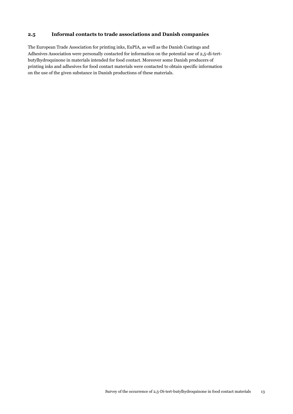## **2.5 Informal contacts to trade associations and Danish companies**

The European Trade Association for printing inks, EuPIA, as well as the Danish Coatings and Adhesives Association were personally contacted for information on the potential use of 2,5-di-tertbutylhydroquinone in materials intended for food contact. Moreover some Danish producers of printing inks and adhesives for food contact materials were contacted to obtain specific information on the use of the given substance in Danish productions of these materials.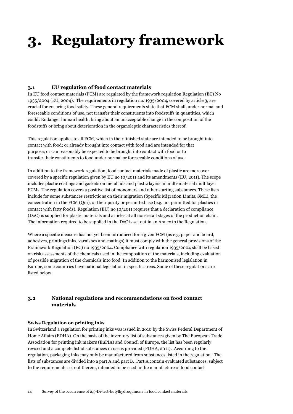# <span id="page-13-0"></span>**3. Regulatory framework**

## <span id="page-13-1"></span>**3.1 EU regulation of food contact materials**

In EU food contact materials (FCM) are regulated by the framework regulation Regulation (EC) No 1935/2004 (EU, 2004). The requirements in regulation no. 1935/2004, covered by article 3, are crucial for ensuring food safety. These general requirements state that FCM shall, under normal and foreseeable conditions of use, not transfer their constituents into foodstuffs in quantities, which could: Endanger human health, bring about an unacceptable change in the composition of the foodstuffs or bring about deterioration in the organoleptic characteristics thereof.

This regulation applies to all FCM, which in their finished state are intended to be brought into contact with food; or already brought into contact with food and are intended for that purpose; or can reasonably be expected to be brought into contact with food or to transfer their constituents to food under normal or foreseeable conditions of use.

In addition to the framework regulation, food contact materials made of plastic are moreover covered by a specific regulation given by EU no 10/2011 and its amendments (EU, 2011). The scope includes plastic coatings and gaskets on metal lids and plastic layers in multi-material multilayer FCMs. The regulation covers a positive list of monomers and other starting substances. These lists include for some substances restrictions on their migration (Specific Migration Limits, SML), the concentration in the FCM (Qm), or their purity or permitted use (e.g. not permitted for plastics in contact with fatty foods). Regulation (EU) no 10/2011 requires that a declaration of compliance (DoC) is supplied for plastic materials and articles at all non-retail stages of the production chain. The information required to be supplied in the DoC is set out in an Annex to the Regulation.

Where a specific measure has not yet been introduced for a given FCM (as e.g. paper and board, adhesives, printings inks, varnishes and coatings) it must comply with the general provisions of the Framework Regulation (EC) no 1935/2004. Compliance with regulation 1935/2004 shall be based on risk assessments of the chemicals used in the composition of the materials, including evaluation of possible migration of the chemicals into food. In addition to the harmonised legislation in Europe, some countries have national legislation in specific areas. Some of these regulations are listed below.

## <span id="page-13-2"></span>**3.2 National regulations and recommendations on food contact materials**

#### **Swiss Regulation on printing inks**

In Switzerland a regulation for printing inks was issued in 2010 by the Swiss Federal Department of Home Affairs (FDHA). On the basis of the inventory list of substances given by The European Trade Association for printing ink makers (EuPIA) and Council of Europe, the list has been regularly revised and a complete list of substances in use is provided (FDHA, 2011). According to the regulation, packaging inks may only be manufactured from substances listed in the regulation. The lists of substances are divided into a part A and part B. Part A contain evaluated substances, subject to the requirements set out therein, intended to be used in the manufacture of food contact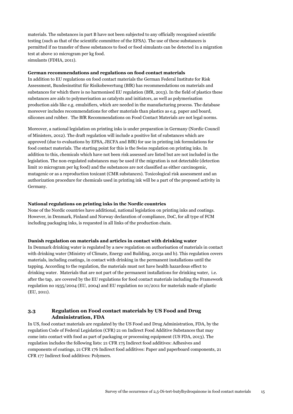materials. The substances in part B have not been subjected to any officially recognised scientific testing (such as that of the scientific committee of the EFSA). The use of these substances is permitted if no transfer of these substances to food or food simulants can be detected in a migration test at above 10 microgram per kg food. simulants (FDHA, 2011).

#### **German recommendations and regulations on food contact materials**

In addition to EU regulations on food contact materials the German Federal Institute for Risk Assessment, Bundesinstitut für Risikobewertung (BfR) has recommendations on materials and substances for which there is no harmonised EU regulation (BfR, 2013). In the field of plastics these substances are aids to polymerisation as catalysts and initiators, as well as polymerisation production aids like e.g. emulsifiers, which are needed in the manufacturing process. The database moreover includes recommendations for other materials than plastics as e.g. paper and board, silicones and rubber. The BfR Recommendations on Food Contact Materials are not legal norms.

Moreover, a national legislation on printing inks is under preparation in Germany (Nordic Council of Ministers, 2012). The draft regulation will include a positive list of substances which are approved (due to evaluations by EFSA, JECFA and BfR) for use in printing ink formulations for food contact materials. The starting point for this is the Swiss regulation on printing inks. In addition to this, chemicals which have not been risk assessed are listed but are not included in the legislation. The non-regulated substances may be used if the migration is not detectable (detection limit 10 microgram per kg food) and the substances are not classified as either carcinogenic, mutagenic or as a reproduction toxicant (CMR substances). Toxicological risk assessment and an authorization procedure for chemicals used in printing ink will be a part of the proposed activity in Germany.

#### **National regulations on printing inks in the Nordic countries**

None of the Nordic countries have additional, national legislation on printing inks and coatings. However, in Denmark, Finland and Norway declaration of compliance, DoC, for all type of FCM including packaging inks, is requested in all links of the production chain.

#### **Danish regulation on materials and articles in contact with drinking water**

In Denmark drinking water is regulated by a new regulation on authorisation of materials in contact with drinking water (Ministry of Climate, Energy and Building, 2013a and b). This regulation covers materials, including coatings, in contact with drinking in the permanent installations until the tapping. According to the regulation, the materials must not have health hazardous effect to drinking water. Materials that are not part of the permanent installations for drinking water, i.e. after the tap, are covered by the EU regulations for food contact materials including the Framework regulation no 1935/2004 (EU, 2004) and EU regulation no 10/2011 for materials made of plastic (EU, 2011).

## <span id="page-14-0"></span>**3.3 Regulation on Food contact materials by US Food and Drug Administration, FDA**

In US, food contact materials are regulated by the US Food and Drug Administration, FDA, by the regulation Code of Federal Legislation (CFR) 21 on Indirect Food Additive Substances that may come into contact with food as part of packaging or processing equipment (US FDA, 2013). The regulation includes the following lists: 21 CFR 175 Indirect food additives: Adhesives and components of coatings, 21 CFR 176 Indirect food additives: Paper and paperboard components, 21 CFR 177 Indirect food additives: Polymers.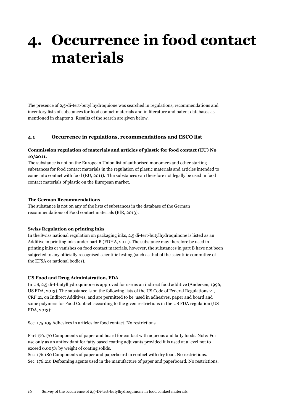# <span id="page-15-0"></span>**4. Occurrence in food contact materials**

The presence of 2,5-di-tert-butyl hydroquione was searched in regulations, recommendations and inventory lists of substances for food contact materials and in literature and patent databases as mentioned in chapter 2. Results of the search are given below.

#### <span id="page-15-1"></span>**4.1 Occurrence in regulations, recommendations and ESCO list**

### **Commission regulation of materials and articles of plastic for food contact (EU) No 10/2011.**

The substance is not on the European Union list of authorised monomers and other starting substances for food contact materials in the regulation of plastic materials and articles intended to come into contact with food (EU, 2011). The substances can therefore not legally be used in food contact materials of plastic on the European market.

#### **The German Recommendations**

The substance is not on any of the lists of substances in the database of the German recommendations of Food contact materials (BfR, 2013).

#### **Swiss Regulation on printing inks**

In the Swiss national regulation on packaging inks, 2,5 di-tert-butylhydroquinone is listed as an Additive in printing inks under part B (FDHA, 2011). The substance may therefore be used in printing inks or vanishes on food contact materials, however, the substances in part B have not been subjected to any officially recognised scientific testing (such as that of the scientific committee of the EFSA or national bodies).

#### **US Food and Drug Administration, FDA**

In US, 2,5 di-t-butylhydroquinone is approved for use as an indirect food additive (Andersen, 1996; US FDA, 2013). The substance is on the following lists of the US Code of Federal Regulations 21, CRF 21, on Indirect Additives, and are permitted to be used in adhesives, paper and board and some polymers for Food Contact according to the given restrictions in the US FDA regulation (US FDA, 2013):

Sec. 175.105 Adhesives in articles for food contact. No restrictions

Part 176.170 Components of paper and board for contact with aqueous and fatty foods. Note: For use only as an antioxidant for fatty based coating adjuvants provided it is used at a level not to exceed 0.005% by weight of coating solids.

Sec. 176.180 Components of paper and paperboard in contact with dry food. No restrictions. Sec. 176.210 Defoaming agents used in the manufacture of paper and paperboard. No restrictions.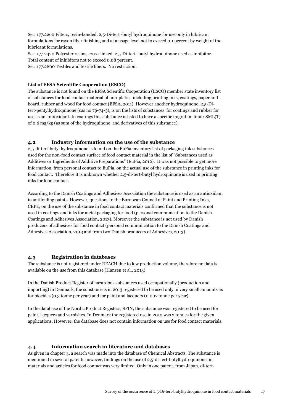Sec. 177.2260 Filters, resin-bonded. 2,5-Di-tert -butyl hydroquinone for use only in lubricant formulations for rayon fiber finishing and at a usage level not to exceed 0.1 percent by weight of the lubricant formulations.

Sec. 177.2420 Polyester resins, cross-linked. 2,5-Di-tert -butyl hydroquinone used as inhibitor. Total content of inhibitors not to exceed 0.08 percent. Sec. 177.2800 Textiles and textile fibers. No restriction.

#### **List of EFSA Scientific Cooperation (ESCO)**

The substance is not found on the EFSA Scientific Cooperation (ESCO) member state inventory list of substances for food contact material of non-platic, including printing inks, coatings, paper and board, rubber and wood for food contact (EFSA, 2011). However another hydroquinone, 2,5-Ditert-pentylhydroquinone (cas no 79-74-3), is on the lists of substances for coatings and rubber for use as an antioxidant. In coatings this substance is listed to have a specific migration limit: SML(T) of 0.6 mg/kg (as sum of the hydroquinone and derivatives of this substance).

#### <span id="page-16-0"></span>**4.2 Industry information on the use of the substance**

2,5-di-tert-butyl hydroquinone is found on the EuPia inventory list of packaging ink substances used for the non-food contact surface of food contact material in the list of "Substances used as Additives or Ingredients of Additive Preparations" (EuPia, 2012). It was not possible to get more information, from personal contact to EuPia, on the actual use of the substance in printing inks for food contact. Therefore it is unknown whether 2,5-di-tert-butyl hydroquinone is used in printing inks for food contact.

According to the Danish Coatings and Adhesives Association the substance is used as an antioxidant in antifouling paints. However, questions to the European Council of Paint and Printing Inks, CEPE, on the use of the substance in food contact materials confirmed that the substance is not used in coatings and inks for metal packaging for food (personal communication to the Danish Coatings and Adhesives Association, 2013). Moreover the substance is not used by Danish producers of adhesives for food contact (personal communication to the Danish Coatings and Adhesives Association, 2013 and from two Danish producers of Adhesives, 2013).

#### <span id="page-16-1"></span>**4.3 Registration in databases**

The substance is not registered under REACH due to low production volume, therefore no data is available on the use from this database (Hansen et al., 2013)

In the Danish Product Register of hazardous substances used occupationally (production and importing) in Denmark, the substance is in 2013 registered to be used only in very small amounts as for biocides (0.3 tonne per year) and for paint and lacquers (0.007 tonne per year).

In the database of the Nordic Product Registers, SPIN, the substance was registered to be used for paint, lacquers and varnishes. In Denmark the registered use in 2010 was 2 tonnes for the given applications. However, the database does not contain information on use for food contact materials.

#### <span id="page-16-2"></span>**4.4 Information search in literature and databases**

As given in chapter 3, a search was made into the database of Chemical Abstracts. The substance is mentioned in several patents however, findings on the use of 2,5-di-tert-butylhydroquinone in materials and articles for food contact was very limited. Only in one patent, from Japan, di-tert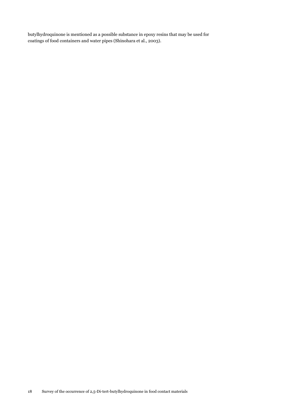butylhydroquinone is mentioned as a possible substance in epoxy resins that may be used for coatings of food containers and water pipes (Shinohara et al., 2003).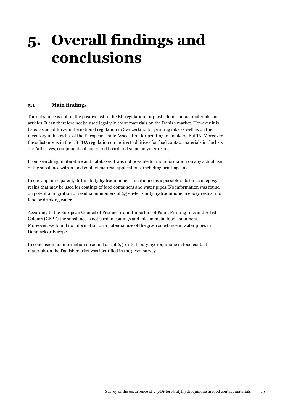# <span id="page-18-0"></span>**5. Overall findings and conclusions**

## <span id="page-18-1"></span>**5.1 Main findings**

The substance is not on the positive list in the EU regulation for plastic food contact materials and articles. It can therefore not be used legally in these materials on the Danish market. However it is listed as an additive in the national regulation in Switzerland for printing inks as well as on the inventory industry list of the European Trade Association for printing ink makers, EuPIA. Moreover the substance is in the US FDA regulation on indirect additives for food contact materials in the lists on: Adhesives, components of paper and board and some polymer resins.

From searching in literature and databases it was not possible to find information on any actual use of the substance within food contact material applications, including printings inks.

In one Japanese patent, di-tert-butylhydroquinone is mentioned as a possible substance in epoxy resins that may be used for coatings of food containers and water pipes. No information was found on potential migration of residual monomers of 2,5-di-tert- butylhydroquinone in epoxy resins into food or drinking water.

According to the European Council of Producers and Importers of Paint, Printing Inks and Artist Colours (CEPE) the substance is not used in coatings and inks in metal food containers. Moreover, we found no information on a potential use of the given substance in water pipes in Denmark or Europe.

In conclusion no information on actual use of 2,5-di-tert-butylhydroquinone in food contact materials on the Danish market was identified in the given survey.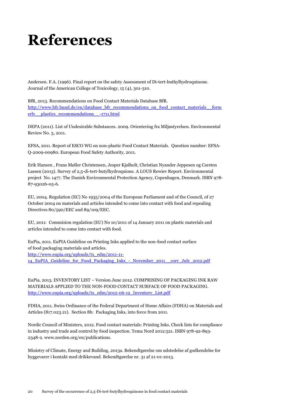# <span id="page-19-0"></span>**References**

Andersen. F.A. (1996). Final report on the safety Assessment of Di-tert-buthylhydroquinone. Journal of the American College of Toxicology, 15 (4), 301-310.

BfR, 2013. Recommendations on Food Contact Materials Database BfR. http://www.bfr.bund.de/en/database\_bfr\_recommendations\_on\_food\_contact\_materials\_form [erly\\_\\_plastics\\_recommendations\\_\\_-1711.html](http://www.bfr.bund.de/en/database_bfr_recommendations_on_food_contact_materials__formerly__plastics_recommendations__-1711.html)

DEPA (2011). List of Undesirable Substances. 2009. Orientering fra Miljøstyrelsen. Environmental Review No. 3, 2011.

EFSA, 2011. Report of ESCO WG on non-plastic Food Contact Materials. Question number: EFSA-Q-2009-00980. European Food Safety Authority, 2011.

Erik Hansen , Frans Møller Christensen, Jesper Kjølholt, Christian Nyander Jeppesen og Carsten Lassen (2013). Survey of 2,5-di-tert-butylhydroquione. A LOUS Rewiev Report. Environmental project No. 1477. The Danish Environmental Protection Agency, Copenhagen, Denmark. ISBN 978- 87-93026-05-6.

EU, 2004. Regulation (EC) No 1935/2004 of the European Parliament and of the Council, of 27 October 2004 on materials and articles intended to come into contact with food and repealing Directives 80/590/EEC and 89/109/EEC.

EU, 2011: Commision regulation (EU) No 10/2011 of 14 January 2011 on plastic materials and articles intended to come into contact with food.

EuPia, 2011. EuPIA Guideline on Printing Inks applied to the non-food contact surface of food packaging materials and articles. http://www.eupia.org/uploads/tx\_edm/2011-11- 14\_EuPIA\_Guideline\_for\_Food\_Packaging\_Inks\_-\_November\_2011\_\_corr\_July\_2012.pdf

EuPia, 2013. INVENTORY LIST – Version June 2012. COMPRISING OF PACKAGING INK RAW MATERIALS APPLIED TO THE NON-FOOD CONTACT SURFACE OF FOOD PACKAGING. [http://www.eupia.org/uploads/tx\\_edm/2012-06-12\\_Inventory\\_List.pdf](http://www.eupia.org/uploads/tx_edm/2012-06-12_Inventory_List.pdf)

FDHA, 2011. Swiss Ordinance of the Federal Department of Home Affairs (FDHA) on Materials and Articles (817.023.21). Section 8b: Packaging Inks, into force from 2011.

Nordic Council of Ministers, 2012. Food contact materials: Printing Inks. Check lists for compliance in industry and trade and control by food inspection. Tema Nord 2012:521. ISBN 978-92-893- 2348-2. [www.norden.org/en/publications.](http://www.norden.org/en/publications)

Ministry of Climate, Energy and Building, 2013a. Bekendtgørelse om udstedelse af godkendelse for byggevarer i kontakt med drikkevand. Bekendtgørelse nr. 31 af 21-01-2013.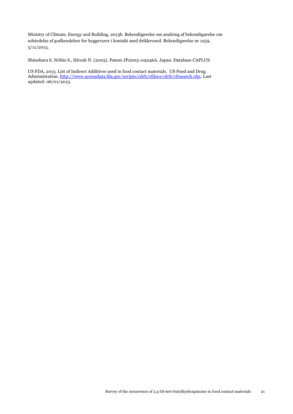Ministry of Climate, Energy and Building, 2013b. Bekendtgørelse om ændring af bekendtgørelse om udstedelse af godkendelser for byggevarer i kontakt med drikkevand. Bekendtgørelse nr 1259, 5/11/2013.

Shinohara S. Nrihis S., Hirosh N. (2003). Patent JP2003-119246A. Japan. Database CAPLUS.

US FDA, 2013. List of Indirect Additives used in food contact materials. US Food and Drug Administration. [http://www.accessdata.fda.gov/scripts/cdrh/cfdocs/cfcfr/cfrsearch.cfm.](http://www.accessdata.fda.gov/scripts/cdrh/cfdocs/cfcfr/cfrsearch.cfm) Last updated: 06/01/2013.